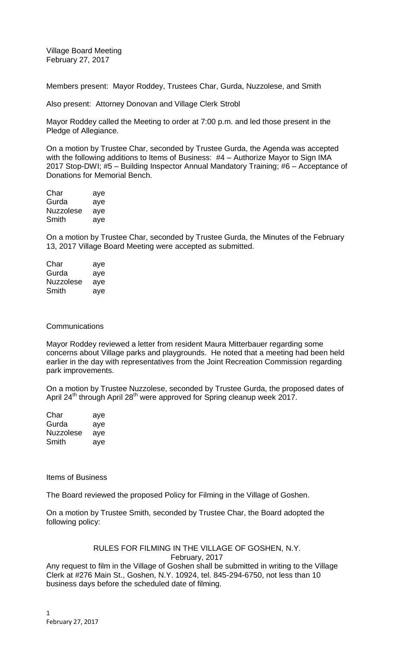Village Board Meeting February 27, 2017

Members present: Mayor Roddey, Trustees Char, Gurda, Nuzzolese, and Smith

Also present: Attorney Donovan and Village Clerk Strobl

Mayor Roddey called the Meeting to order at 7:00 p.m. and led those present in the Pledge of Allegiance.

On a motion by Trustee Char, seconded by Trustee Gurda, the Agenda was accepted with the following additions to Items of Business: #4 – Authorize Mayor to Sign IMA 2017 Stop-DWI; #5 – Building Inspector Annual Mandatory Training; #6 – Acceptance of Donations for Memorial Bench.

| Char             | aye |
|------------------|-----|
| Gurda            | aye |
| <b>Nuzzolese</b> | aye |
| Smith            | aye |

On a motion by Trustee Char, seconded by Trustee Gurda, the Minutes of the February 13, 2017 Village Board Meeting were accepted as submitted.

| Char             | aye |
|------------------|-----|
| Gurda            | aye |
| <b>Nuzzolese</b> | aye |
| Smith            | aye |

# **Communications**

Mayor Roddey reviewed a letter from resident Maura Mitterbauer regarding some concerns about Village parks and playgrounds. He noted that a meeting had been held earlier in the day with representatives from the Joint Recreation Commission regarding park improvements.

On a motion by Trustee Nuzzolese, seconded by Trustee Gurda, the proposed dates of April 24<sup>th</sup> through April 28<sup>th</sup> were approved for Spring cleanup week 2017.

| Char      | aye |
|-----------|-----|
| Gurda     | aye |
| Nuzzolese | aye |
| Smith     | ave |

Items of Business

The Board reviewed the proposed Policy for Filming in the Village of Goshen.

On a motion by Trustee Smith, seconded by Trustee Char, the Board adopted the following policy:

# RULES FOR FILMING IN THE VILLAGE OF GOSHEN, N.Y. February, 2017

Any request to film in the Village of Goshen shall be submitted in writing to the Village Clerk at #276 Main St., Goshen, N.Y. 10924, tel. 845-294-6750, not less than 10 business days before the scheduled date of filming.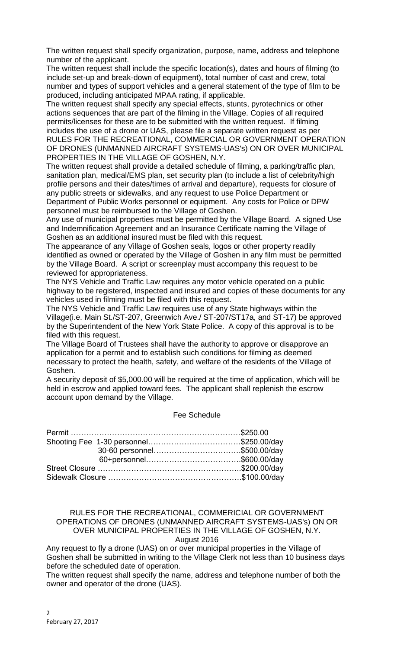The written request shall specify organization, purpose, name, address and telephone number of the applicant.

The written request shall include the specific location(s), dates and hours of filming (to include set-up and break-down of equipment), total number of cast and crew, total number and types of support vehicles and a general statement of the type of film to be produced, including anticipated MPAA rating, if applicable.

The written request shall specify any special effects, stunts, pyrotechnics or other actions sequences that are part of the filming in the Village. Copies of all required permits/licenses for these are to be submitted with the written request. If filming includes the use of a drone or UAS, please file a separate written request as per RULES FOR THE RECREATIONAL, COMMERCIAL OR GOVERNMENT OPERATION OF DRONES (UNMANNED AIRCRAFT SYSTEMS-UAS's) ON OR OVER MUNICIPAL PROPERTIES IN THE VILLAGE OF GOSHEN, N.Y.

The written request shall provide a detailed schedule of filming, a parking/traffic plan, sanitation plan, medical/EMS plan, set security plan (to include a list of celebrity/high profile persons and their dates/times of arrival and departure), requests for closure of any public streets or sidewalks, and any request to use Police Department or Department of Public Works personnel or equipment. Any costs for Police or DPW personnel must be reimbursed to the Village of Goshen.

Any use of municipal properties must be permitted by the Village Board. A signed Use and Indemnification Agreement and an Insurance Certificate naming the Village of Goshen as an additional insured must be filed with this request.

The appearance of any Village of Goshen seals, logos or other property readily identified as owned or operated by the Village of Goshen in any film must be permitted by the Village Board. A script or screenplay must accompany this request to be reviewed for appropriateness.

The NYS Vehicle and Traffic Law requires any motor vehicle operated on a public highway to be registered, inspected and insured and copies of these documents for any vehicles used in filming must be filed with this request.

The NYS Vehicle and Traffic Law requires use of any State highways within the Village(i.e. Main St./ST-207, Greenwich Ave./ ST-207/ST17a, and ST-17) be approved by the Superintendent of the New York State Police. A copy of this approval is to be filed with this request.

The Village Board of Trustees shall have the authority to approve or disapprove an application for a permit and to establish such conditions for filming as deemed necessary to protect the health, safety, and welfare of the residents of the Village of Goshen.

A security deposit of \$5,000.00 will be required at the time of application, which will be held in escrow and applied toward fees. The applicant shall replenish the escrow account upon demand by the Village.

# Fee Schedule

| 30-60 personnel\$500.00/day |  |
|-----------------------------|--|
|                             |  |
|                             |  |
|                             |  |

### RULES FOR THE RECREATIONAL, COMMERICIAL OR GOVERNMENT OPERATIONS OF DRONES (UNMANNED AIRCRAFT SYSTEMS-UAS's) ON OR OVER MUNICIPAL PROPERTIES IN THE VILLAGE OF GOSHEN, N.Y. August 2016

Any request to fly a drone (UAS) on or over municipal properties in the Village of Goshen shall be submitted in writing to the Village Clerk not less than 10 business days before the scheduled date of operation.

The written request shall specify the name, address and telephone number of both the owner and operator of the drone (UAS).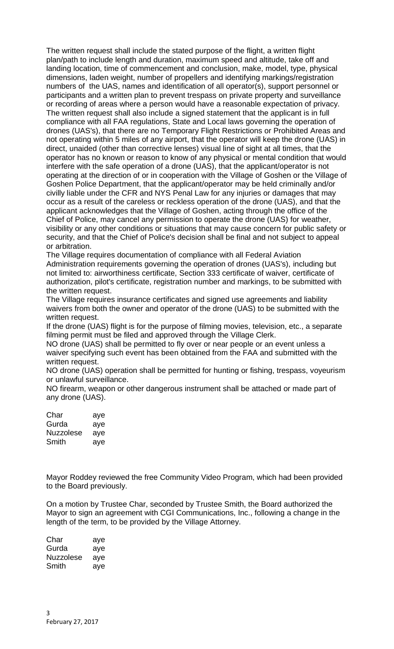The written request shall include the stated purpose of the flight, a written flight plan/path to include length and duration, maximum speed and altitude, take off and landing location, time of commencement and conclusion, make, model, type, physical dimensions, laden weight, number of propellers and identifying markings/registration numbers of the UAS, names and identification of all operator(s), support personnel or participants and a written plan to prevent trespass on private property and surveillance or recording of areas where a person would have a reasonable expectation of privacy. The written request shall also include a signed statement that the applicant is in full compliance with all FAA regulations, State and Local laws governing the operation of drones (UAS's), that there are no Temporary Flight Restrictions or Prohibited Areas and not operating within 5 miles of any airport, that the operator will keep the drone (UAS) in direct, unaided (other than corrective lenses) visual line of sight at all times, that the operator has no known or reason to know of any physical or mental condition that would interfere with the safe operation of a drone (UAS), that the applicant/operator is not operating at the direction of or in cooperation with the Village of Goshen or the Village of Goshen Police Department, that the applicant/operator may be held criminally and/or civilly liable under the CFR and NYS Penal Law for any injuries or damages that may occur as a result of the careless or reckless operation of the drone (UAS), and that the applicant acknowledges that the Village of Goshen, acting through the office of the Chief of Police, may cancel any permission to operate the drone (UAS) for weather, visibility or any other conditions or situations that may cause concern for public safety or security, and that the Chief of Police's decision shall be final and not subject to appeal or arbitration.

The Village requires documentation of compliance with all Federal Aviation Administration requirements governing the operation of drones (UAS's), including but not limited to: airworthiness certificate, Section 333 certificate of waiver, certificate of authorization, pilot's certificate, registration number and markings, to be submitted with the written request.

The Village requires insurance certificates and signed use agreements and liability waivers from both the owner and operator of the drone (UAS) to be submitted with the written request.

If the drone (UAS) flight is for the purpose of filming movies, television, etc., a separate filming permit must be filed and approved through the Village Clerk.

NO drone (UAS) shall be permitted to fly over or near people or an event unless a waiver specifying such event has been obtained from the FAA and submitted with the written request.

NO drone (UAS) operation shall be permitted for hunting or fishing, trespass, voyeurism or unlawful surveillance.

NO firearm, weapon or other dangerous instrument shall be attached or made part of any drone (UAS).

| Char             | aye |
|------------------|-----|
| Gurda            | aye |
| <b>Nuzzolese</b> | aye |
| Smith            | aye |

Mayor Roddey reviewed the free Community Video Program, which had been provided to the Board previously.

On a motion by Trustee Char, seconded by Trustee Smith, the Board authorized the Mayor to sign an agreement with CGI Communications, Inc., following a change in the length of the term, to be provided by the Village Attorney.

| Char      | aye |
|-----------|-----|
| Gurda     | aye |
| Nuzzolese | aye |
| Smith     | aye |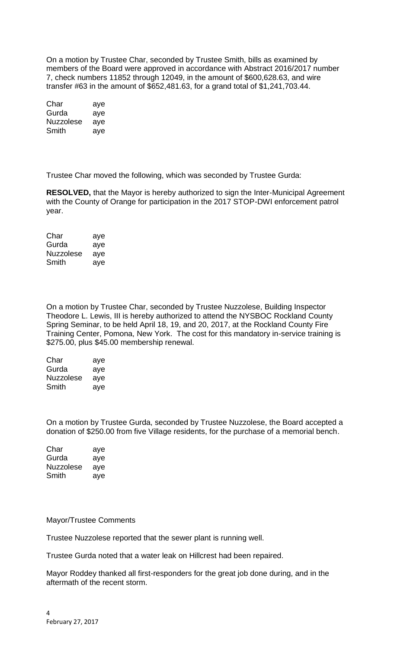On a motion by Trustee Char, seconded by Trustee Smith, bills as examined by members of the Board were approved in accordance with Abstract 2016/2017 number 7, check numbers 11852 through 12049, in the amount of \$600,628.63, and wire transfer #63 in the amount of \$652,481.63, for a grand total of \$1,241,703.44.

| Char      | aye |
|-----------|-----|
| Gurda     | aye |
| Nuzzolese | aye |
| Smith     | aye |

Trustee Char moved the following, which was seconded by Trustee Gurda:

**RESOLVED,** that the Mayor is hereby authorized to sign the Inter-Municipal Agreement with the County of Orange for participation in the 2017 STOP-DWI enforcement patrol year.

| Char             | aye |
|------------------|-----|
| Gurda            | aye |
| <b>Nuzzolese</b> | aye |
| Smith            | ave |

On a motion by Trustee Char, seconded by Trustee Nuzzolese, Building Inspector Theodore L. Lewis, III is hereby authorized to attend the NYSBOC Rockland County Spring Seminar, to be held April 18, 19, and 20, 2017, at the Rockland County Fire Training Center, Pomona, New York. The cost for this mandatory in-service training is \$275.00, plus \$45.00 membership renewal.

| Char             | aye |
|------------------|-----|
| Gurda            | aye |
| <b>Nuzzolese</b> | aye |
| Smith            | aye |

On a motion by Trustee Gurda, seconded by Trustee Nuzzolese, the Board accepted a donation of \$250.00 from five Village residents, for the purchase of a memorial bench.

| Char      | aye |
|-----------|-----|
| Gurda     | aye |
| Nuzzolese | ave |
| Smith     | ave |

# Mayor/Trustee Comments

Trustee Nuzzolese reported that the sewer plant is running well.

Trustee Gurda noted that a water leak on Hillcrest had been repaired.

Mayor Roddey thanked all first-responders for the great job done during, and in the aftermath of the recent storm.